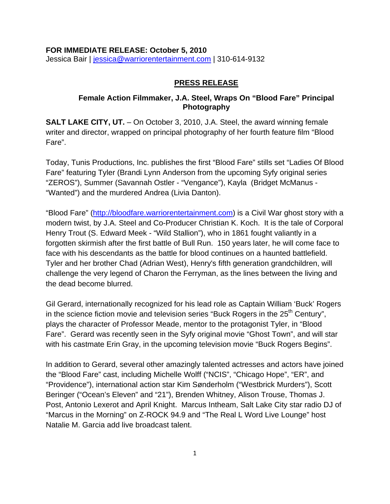#### **FOR IMMEDIATE RELEASE: October 5, 2010**

Jessica Bair | [jessica@warriorentertainment.com](mailto:jessica@warriorentertainment.com) | 310-614-9132

#### **PRESS RELEASE**

#### **Female Action Filmmaker, J.A. Steel, Wraps On "Blood Fare" Principal Photography**

**SALT LAKE CITY, UT.** – On October 3, 2010, J.A. Steel, the award winning female writer and director, wrapped on principal photography of her fourth feature film "Blood Fare".

Today, Tunis Productions, Inc. publishes the first "Blood Fare" stills set "Ladies Of Blood Fare" featuring Tyler (Brandi Lynn Anderson from the upcoming Syfy original series "ZEROS"), Summer (Savannah Ostler - "Vengance"), Kayla (Bridget McManus - "Wanted") and the murdered Andrea (Livia Danton).

"Blood Fare" [\(http://bloodfare.warriorentertainment.com\)](http://bloodfare.warriorentertainment.com/) is a Civil War ghost story with a modern twist, by J.A. Steel and Co-Producer Christian K. Koch. It is the tale of Corporal Henry Trout (S. Edward Meek - "Wild Stallion"), who in 1861 fought valiantly in a forgotten skirmish after the first battle of Bull Run. 150 years later, he will come face to face with his descendants as the battle for blood continues on a haunted battlefield. Tyler and her brother Chad (Adrian West), Henry's fifth generation grandchildren, will challenge the very legend of Charon the Ferryman, as the lines between the living and the dead become blurred.

Gil Gerard, internationally recognized for his lead role as Captain William 'Buck' Rogers in the science fiction movie and television series "Buck Rogers in the 25<sup>th</sup> Century". plays the character of Professor Meade, mentor to the protagonist Tyler, in "Blood Fare". Gerard was recently seen in the Syfy original movie "Ghost Town", and will star with his castmate Erin Gray, in the upcoming television movie "Buck Rogers Begins".

In addition to Gerard, several other amazingly talented actresses and actors have joined the "Blood Fare" cast, including Michelle Wolff ("NCIS", "Chicago Hope", "ER", and "Providence"), international action star Kim Sønderholm ("Westbrick Murders"), Scott Beringer ("Ocean's Eleven" and "21"), Brenden Whitney, Alison Trouse, Thomas J. Post, Antonio Lexerot and April Knight. Marcus Intheam, Salt Lake City star radio DJ of "Marcus in the Morning" on Z-ROCK 94.9 and "The Real L Word Live Lounge" host Natalie M. Garcia add live broadcast talent.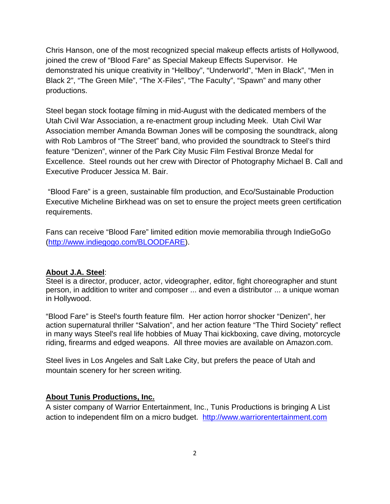Chris Hanson, one of the most recognized special makeup effects artists of Hollywood, joined the crew of "Blood Fare" as Special Makeup Effects Supervisor. He demonstrated his unique creativity in "Hellboy", "Underworld", "Men in Black", "Men in Black 2", "The Green Mile", "The X-Files", "The Faculty", "Spawn" and many other productions.

Steel began stock footage filming in mid-August with the dedicated members of the Utah Civil War Association, a re-enactment group including Meek. Utah Civil War Association member Amanda Bowman Jones will be composing the soundtrack, along with Rob Lambros of "The Street" band, who provided the soundtrack to Steel's third feature "Denizen", winner of the Park City Music Film Festival Bronze Medal for Excellence. Steel rounds out her crew with Director of Photography Michael B. Call and Executive Producer Jessica M. Bair.

 "Blood Fare" is a green, sustainable film production, and Eco/Sustainable Production Executive Micheline Birkhead was on set to ensure the project meets green certification requirements.

Fans can receive "Blood Fare" limited edition movie memorabilia through IndieGoGo ([http://www.indiegogo.com/BLOODFARE\)](http://www.indiegogo.com/BLOODFARE).

#### **About J.A. Steel**:

Steel is a director, producer, actor, videographer, editor, fight choreographer and stunt person, in addition to writer and composer ... and even a distributor ... a unique woman in Hollywood.

"Blood Fare" is Steel's fourth feature film. Her action horror shocker "Denizen", her action supernatural thriller "Salvation", and her action feature "The Third Society" reflect in many ways Steel's real life hobbies of Muay Thai kickboxing, cave diving, motorcycle riding, firearms and edged weapons. All three movies are available on Amazon.com.

Steel lives in Los Angeles and Salt Lake City, but prefers the peace of Utah and mountain scenery for her screen writing.

#### **About Tunis Productions, Inc.**

A sister company of Warrior Entertainment, Inc., Tunis Productions is bringing A List action to independent film on a micro budget. [http://www.warriorentertainment.com](http://www.warriorentertainment.com/)